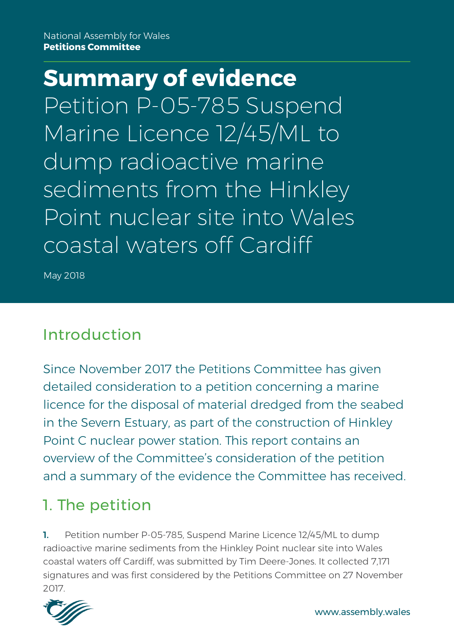**Summary of evidence** Petition P-05-785 Suspend Marine Licence 12/45/ML to dump radioactive marine sediments from the Hinkley Point nuclear site into Wales coastal waters off Cardiff

May 2018

## Introduction

Since November 2017 the Petitions Committee has given detailed consideration to a petition concerning a marine licence for the disposal of material dredged from the seabed in the Severn Estuary, as part of the construction of Hinkley Point C nuclear power station. This report contains an overview of the Committee's consideration of the petition and a summary of the evidence the Committee has received.

# 1. The petition

1. Petition number P-05-785, Suspend Marine Licence 12/45/ML to dump radioactive marine sediments from the Hinkley Point nuclear site into Wales coastal waters off Cardiff, was submitted by Tim Deere-Jones. It collected 7,171 signatures and was first considered by the Petitions Committee on 27 November 2017.

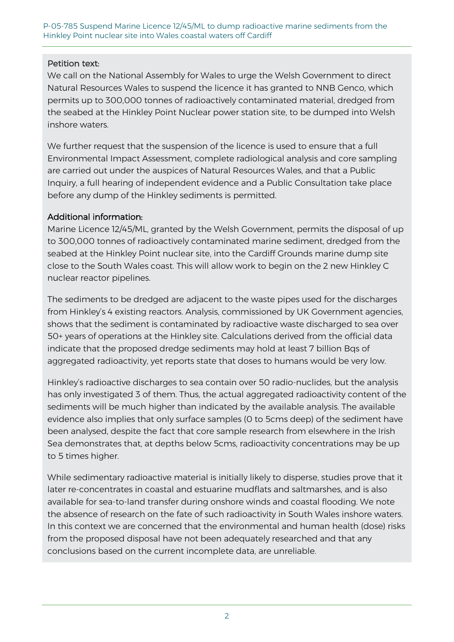P-05-785 Suspend Marine Licence 12/45/ML to dump radioactive marine sediments from the Hinkley Point nuclear site into Wales coastal waters off Cardiff

#### Petition text:

We call on the National Assembly for Wales to urge the Welsh Government to direct Natural Resources Wales to suspend the licence it has granted to NNB Genco, which permits up to 300,000 tonnes of radioactively contaminated material, dredged from the seabed at the Hinkley Point Nuclear power station site, to be dumped into Welsh inshore waters.

We further request that the suspension of the licence is used to ensure that a full Environmental Impact Assessment, complete radiological analysis and core sampling are carried out under the auspices of Natural Resources Wales, and that a Public Inquiry, a full hearing of independent evidence and a Public Consultation take place before any dump of the Hinkley sediments is permitted.

#### Additional information:

Marine Licence 12/45/ML, granted by the Welsh Government, permits the disposal of up to 300,000 tonnes of radioactively contaminated marine sediment, dredged from the seabed at the Hinkley Point nuclear site, into the Cardiff Grounds marine dump site close to the South Wales coast. This will allow work to begin on the 2 new Hinkley C nuclear reactor pipelines.

The sediments to be dredged are adjacent to the waste pipes used for the discharges from Hinkley's 4 existing reactors. Analysis, commissioned by UK Government agencies, shows that the sediment is contaminated by radioactive waste discharged to sea over 50+ years of operations at the Hinkley site. Calculations derived from the official data indicate that the proposed dredge sediments may hold at least 7 billion Bqs of aggregated radioactivity, yet reports state that doses to humans would be very low.

Hinkley's radioactive discharges to sea contain over 50 radio-nuclides, but the analysis has only investigated 3 of them. Thus, the actual aggregated radioactivity content of the sediments will be much higher than indicated by the available analysis. The available evidence also implies that only surface samples (0 to 5cms deep) of the sediment have been analysed, despite the fact that core sample research from elsewhere in the Irish Sea demonstrates that, at depths below 5cms, radioactivity concentrations may be up to 5 times higher.

While sedimentary radioactive material is initially likely to disperse, studies prove that it later re-concentrates in coastal and estuarine mudflats and saltmarshes, and is also available for sea-to-land transfer during onshore winds and coastal flooding. We note the absence of research on the fate of such radioactivity in South Wales inshore waters. In this context we are concerned that the environmental and human health (dose) risks from the proposed disposal have not been adequately researched and that any conclusions based on the current incomplete data, are unreliable.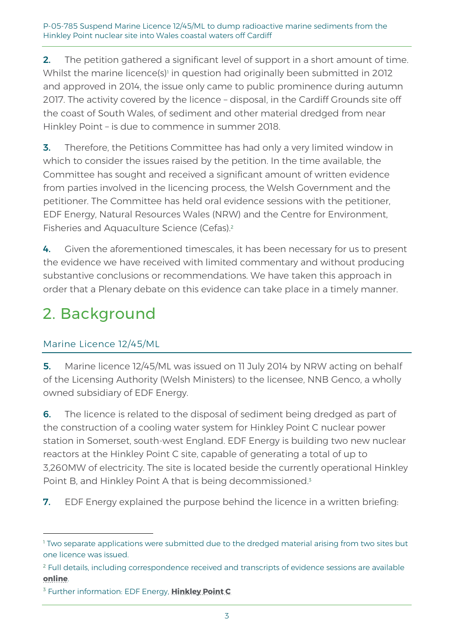2. The petition gathered a significant level of support in a short amount of time. Whilst the marine licence(s)<sup>1</sup> in question had originally been submitted in 2012 and approved in 2014, the issue only came to public prominence during autumn 2017. The activity covered by the licence – disposal, in the Cardiff Grounds site off the coast of South Wales, of sediment and other material dredged from near Hinkley Point – is due to commence in summer 2018.

**3.** Therefore, the Petitions Committee has had only a very limited window in which to consider the issues raised by the petition. In the time available, the Committee has sought and received a significant amount of written evidence from parties involved in the licencing process, the Welsh Government and the petitioner. The Committee has held oral evidence sessions with the petitioner, EDF Energy, Natural Resources Wales (NRW) and the Centre for Environment, Fisheries and Aquaculture Science (Cefas).<sup>2</sup>

4. Given the aforementioned timescales, it has been necessary for us to present the evidence we have received with limited commentary and without producing substantive conclusions or recommendations. We have taken this approach in order that a Plenary debate on this evidence can take place in a timely manner.

# 2. Background

## Marine Licence 12/45/ML

-

5. Marine licence 12/45/ML was issued on 11 July 2014 by NRW acting on behalf of the Licensing Authority (Welsh Ministers) to the licensee, NNB Genco, a wholly owned subsidiary of EDF Energy.

6. The licence is related to the disposal of sediment being dredged as part of the construction of a cooling water system for Hinkley Point C nuclear power station in Somerset, south-west England. EDF Energy is building two new nuclear reactors at the Hinkley Point C site, capable of generating a total of up to 3,260MW of electricity. The site is located beside the currently operational Hinkley Point B, and Hinkley Point A that is being decommissioned.<sup>3</sup>

**7.** EDF Energy explained the purpose behind the licence in a written briefing:

<sup>&</sup>lt;sup>1</sup> Two separate applications were submitted due to the dredged material arising from two sites but one licence was issued.

<sup>2</sup> Full details, including correspondence received and transcripts of evidence sessions are available **[online](http://www.senedd.assembly.wales/ieIssueDetails.aspx?IId=20062&Opt=3)**.

<sup>3</sup> Further information: EDF Energy, **[Hinkley Point C](https://www.edfenergy.com/energy/nuclear-new-build-projects/hinkley-point-c)**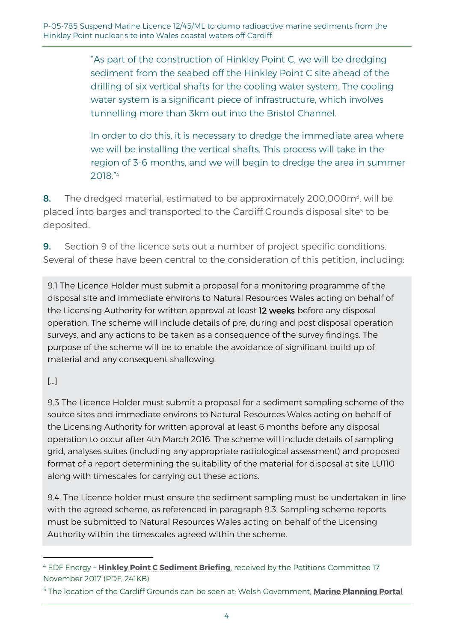"As part of the construction of Hinkley Point C, we will be dredging sediment from the seabed off the Hinkley Point C site ahead of the drilling of six vertical shafts for the cooling water system. The cooling water system is a significant piece of infrastructure, which involves tunnelling more than 3km out into the Bristol Channel.

In order to do this, it is necessary to dredge the immediate area where we will be installing the vertical shafts. This process will take in the region of 3-6 months, and we will begin to dredge the area in summer 2018." 4

8. The dredged material, estimated to be approximately 200,000m<sup>3</sup>, will be placed into barges and transported to the Cardiff Grounds disposal site<sup>5</sup> to be deposited.

**9.** Section 9 of the licence sets out a number of project specific conditions. Several of these have been central to the consideration of this petition, including:

9.1 The Licence Holder must submit a proposal for a monitoring programme of the disposal site and immediate environs to Natural Resources Wales acting on behalf of the Licensing Authority for written approval at least 12 weeks before any disposal operation. The scheme will include details of pre, during and post disposal operation surveys, and any actions to be taken as a consequence of the survey findings. The purpose of the scheme will be to enable the avoidance of significant build up of material and any consequent shallowing.

#### […]

-

9.3 The Licence Holder must submit a proposal for a sediment sampling scheme of the source sites and immediate environs to Natural Resources Wales acting on behalf of the Licensing Authority for written approval at least 6 months before any disposal operation to occur after 4th March 2016. The scheme will include details of sampling grid, analyses suites (including any appropriate radiological assessment) and proposed format of a report determining the suitability of the material for disposal at site LU110 along with timescales for carrying out these actions.

9.4. The Licence holder must ensure the sediment sampling must be undertaken in line with the agreed scheme, as referenced in paragraph 9.3. Sampling scheme reports must be submitted to Natural Resources Wales acting on behalf of the Licensing Authority within the timescales agreed within the scheme.

<sup>4</sup> EDF Energy – **[Hinkley Point C Sediment Briefing](http://www.senedd.assembly.wales/documents/s69277/Hinkley%20Point%20C%20Sediment%20Briefing%20-%20EDF%20Energy.pdf)**, received by the Petitions Committee 17 November 2017 (PDF, 241KB)

<sup>5</sup> The location of the Cardiff Grounds can be seen at: Welsh Government, **[Marine Planning Portal](http://lle.gov.wales/apps/marineportal/#lat=52.5145&lon=-3.9111&z=8)**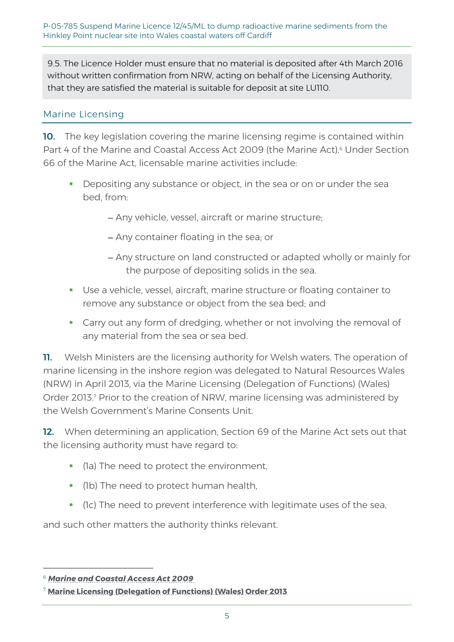9.5. The Licence Holder must ensure that no material is deposited after 4th March 2016 without written confirmation from NRW, acting on behalf of the Licensing Authority, that they are satisfied the material is suitable for deposit at site LU110.

#### Marine Licensing

10. The key legislation covering the marine licensing regime is contained within Part 4 of the Marine and Coastal Access Act 2009 (the Marine Act).<sup>6</sup> Under Section 66 of the Marine Act, licensable marine activities include:

**Depositing any substance or object, in the sea or on or under the sea** bed, from:

Any vehicle, vessel, aircraft or marine structure;

- Any container floating in the sea; or
- Any structure on land constructed or adapted wholly or mainly for the purpose of depositing solids in the sea.
- Use a vehicle, vessel, aircraft, marine structure or floating container to remove any substance or object from the sea bed; and
- Carry out any form of dredging, whether or not involving the removal of any material from the sea or sea bed.

11. Welsh Ministers are the licensing authority for Welsh waters. The operation of marine licensing in the inshore region was delegated to Natural Resources Wales (NRW) in April 2013, via the Marine Licensing (Delegation of Functions) (Wales) Order 2013.<sup>7</sup> Prior to the creation of NRW, marine licensing was administered by the Welsh Government's Marine Consents Unit.

12. When determining an application, Section 69 of the Marine Act sets out that the licensing authority must have regard to:

- (1a) The need to protect the environment,
- (1b) The need to protect human health,
- (1c) The need to prevent interference with legitimate uses of the sea,

and such other matters the authority thinks relevant.

<sup>6</sup> *[Marine and Coastal Access Act 2009](http://www.legislation.gov.uk/ukpga/2009/23/contents)*

<sup>7</sup> **[Marine Licensing \(Delegation of Functions\) \(Wales\) Order 2013](http://www.legislation.gov.uk/wsi/2013/414/pdfs/wsi_20130414_mi.pdf)**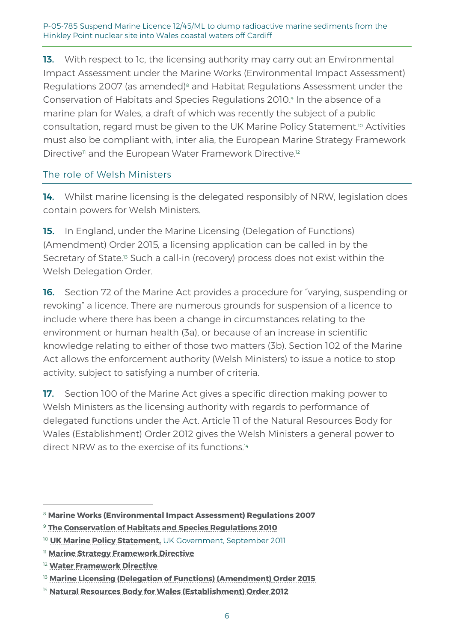P-05-785 Suspend Marine Licence 12/45/ML to dump radioactive marine sediments from the Hinkley Point nuclear site into Wales coastal waters off Cardiff

13. With respect to 1c, the licensing authority may carry out an Environmental Impact Assessment under the Marine Works (Environmental Impact Assessment) Regulations 2007 (as amended)<sup>8</sup> and Habitat Regulations Assessment under the Conservation of Habitats and Species Regulations 2010.<sup>9</sup> In the absence of a marine plan for Wales, a draft of which was recently the subject of a public consultation, regard must be given to the UK Marine Policy Statement.<sup>10</sup> Activities must also be compliant with, inter alia, the European Marine Strategy Framework Directive<sup>n</sup> and the European Water Framework Directive.<sup>12</sup>

#### The role of Welsh Ministers

14. Whilst marine licensing is the delegated responsibly of NRW, legislation does contain powers for Welsh Ministers.

15. In England, under the Marine Licensing (Delegation of Functions) (Amendment) Order 2015*,* a licensing application can be called-in by the Secretary of State.<sup>13</sup> Such a call-in (recovery) process does not exist within the Welsh Delegation Order.

16. Section 72 of the Marine Act provides a procedure for "varying, suspending or revoking" a licence. There are numerous grounds for suspension of a licence to include where there has been a change in circumstances relating to the environment or human health (3a), or because of an increase in scientific knowledge relating to either of those two matters (3b). Section 102 of the Marine Act allows the enforcement authority (Welsh Ministers) to issue a notice to stop activity, subject to satisfying a number of criteria.

17. Section 100 of the Marine Act gives a specific direction making power to Welsh Ministers as the licensing authority with regards to performance of delegated functions under the Act. Article 11 of the Natural Resources Body for Wales (Establishment) Order 2012 gives the Welsh Ministers a general power to direct NRW as to the exercise of its functions<sup>14</sup>

<sup>8</sup> **[Marine Works \(Environmental Impact Assessment\) Regulations 2007](http://www.legislation.gov.uk/uksi/2007/1518/made)**

<sup>9</sup> **[The Conservation of Habitats and Species Regulations](http://www.legislation.gov.uk/uksi/2010/490/contents/made) 2010**

<sup>10</sup> **[UK Marine Policy Statement,](https://www.gov.uk/government/publications/uk-marine-policy-statement)** UK Government, September 2011

<sup>11</sup> **[Marine Strategy Framework Directive](http://ec.europa.eu/environment/marine/eu-coast-and-marine-policy/marine-strategy-framework-directive/index_en.htm)**

<sup>12</sup> **[Water Framework Directive](http://ec.europa.eu/environment/water/water-framework/index_en.html)**

<sup>&</sup>lt;sup>13</sup> [Marine Licensing \(Delegation of Functions\) \(Amendment\) Order 2015](http://www.legislation.gov.uk/uksi/2015/1674/contents/made)

<sup>&</sup>lt;sup>14</sup> [Natural Resources Body for Wales \(Establishment\) Order 2012](http://www.legislation.gov.uk/wsi/2012/1903/body/made)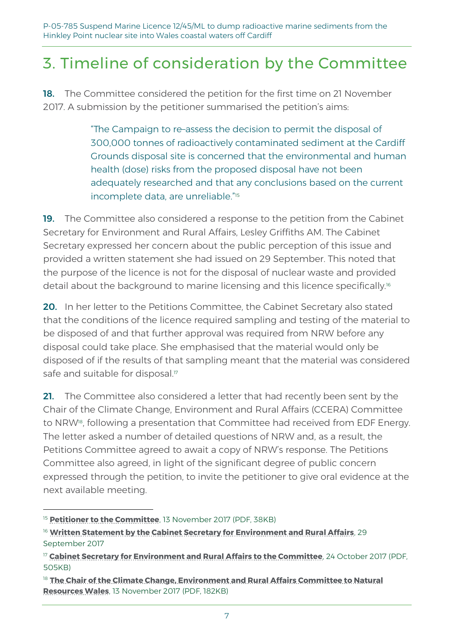P-05-785 Suspend Marine Licence 12/45/ML to dump radioactive marine sediments from the Hinkley Point nuclear site into Wales coastal waters off Cardiff

## 3. Timeline of consideration by the Committee

**18.** The Committee considered the petition for the first time on 21 November 2017. A submission by the petitioner summarised the petition's aims:

> "The Campaign to re–assess the decision to permit the disposal of 300,000 tonnes of radioactively contaminated sediment at the Cardiff Grounds disposal site is concerned that the environmental and human health (dose) risks from the proposed disposal have not been adequately researched and that any conclusions based on the current incomplete data, are unreliable." 15

19. The Committee also considered a response to the petition from the Cabinet Secretary for Environment and Rural Affairs, Lesley Griffiths AM. The Cabinet Secretary expressed her concern about the public perception of this issue and provided a written statement she had issued on 29 September. This noted that the purpose of the licence is not for the disposal of nuclear waste and provided detail about the background to marine licensing and this licence specifically.<sup>16</sup>

20. In her letter to the Petitions Committee, the Cabinet Secretary also stated that the conditions of the licence required sampling and testing of the material to be disposed of and that further approval was required from NRW before any disposal could take place. She emphasised that the material would only be disposed of if the results of that sampling meant that the material was considered safe and suitable for disposal.<sup>17</sup>

21. The Committee also considered a letter that had recently been sent by the Chair of the Climate Change, Environment and Rural Affairs (CCERA) Committee to NRW<sup>18</sup> , following a presentation that Committee had received from EDF Energy. The letter asked a number of detailed questions of NRW and, as a result, the Petitions Committee agreed to await a copy of NRW's response. The Petitions Committee also agreed, in light of the significant degree of public concern expressed through the petition, to invite the petitioner to give oral evidence at the next available meeting.

<sup>&</sup>lt;sup>15</sup> **[Petitioner to the Committee](http://www.senedd.assembly.wales/documents/s68543/13.11.17%20Correspondence%20-%20Petitioner%20to%20the%20Committee.pdf)**, 13 November 2017 (PDF, 38KB)

<sup>&</sup>lt;sup>16</sup> [Written Statement by the Cabinet Secretary for Environment and Rural Affairs](http://gov.wales/about/cabinet/cabinetstatements/2017/marinelicencehinkleypoint/?lang=en), 29 September 2017

<sup>17</sup> **[Cabinet Secretary for Environment and Rural Affairs to the Committee](http://www.senedd.assembly.wales/documents/s68510/26.10.17%20Correspondence%20Cabinet%20Secretary%20for%20Environment%20and%20Rural%20Affairs%20to%20the%20Chair.pdf)**, 24 October 2017 (PDF, 505KB)

<sup>&</sup>lt;sup>18</sup> The Chair of the Climate Change, Environment and Rural Affairs Committee to Natural **[Resources Wales](http://www.senedd.assembly.wales/documents/s68687/13.11.17%20Correspondence%20-%20The%20Chair%20of%20the%20Climate%20Environment%20and%20Rural%20Affairs%20Committee%20to%20Natur.pdf)**, 13 November 2017 (PDF, 182KB)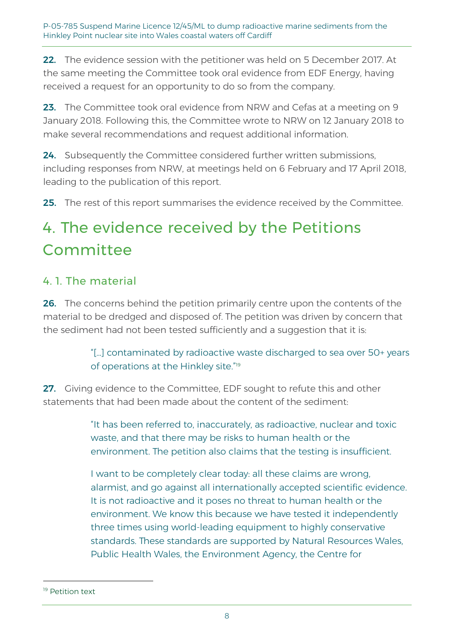22. The evidence session with the petitioner was held on 5 December 2017. At the same meeting the Committee took oral evidence from EDF Energy, having received a request for an opportunity to do so from the company.

23. The Committee took oral evidence from NRW and Cefas at a meeting on 9 January 2018. Following this, the Committee wrote to NRW on 12 January 2018 to make several recommendations and request additional information.

24. Subsequently the Committee considered further written submissions, including responses from NRW, at meetings held on 6 February and 17 April 2018, leading to the publication of this report.

**25.** The rest of this report summarises the evidence received by the Committee.

# 4. The evidence received by the Petitions Committee

## 4. 1. The material

26. The concerns behind the petition primarily centre upon the contents of the material to be dredged and disposed of. The petition was driven by concern that the sediment had not been tested sufficiently and a suggestion that it is:

> "[…] contaminated by radioactive waste discharged to sea over 50+ years of operations at the Hinkley site." 19

27. Giving evidence to the Committee, EDF sought to refute this and other statements that had been made about the content of the sediment:

> "It has been referred to, inaccurately, as radioactive, nuclear and toxic waste, and that there may be risks to human health or the environment. The petition also claims that the testing is insufficient.

I want to be completely clear today: all these claims are wrong, alarmist, and go against all internationally accepted scientific evidence. It is not radioactive and it poses no threat to human health or the environment. We know this because we have tested it independently three times using world-leading equipment to highly conservative standards. These standards are supported by Natural Resources Wales, Public Health Wales, the Environment Agency, the Centre for

<sup>&</sup>lt;sup>19</sup> Petition text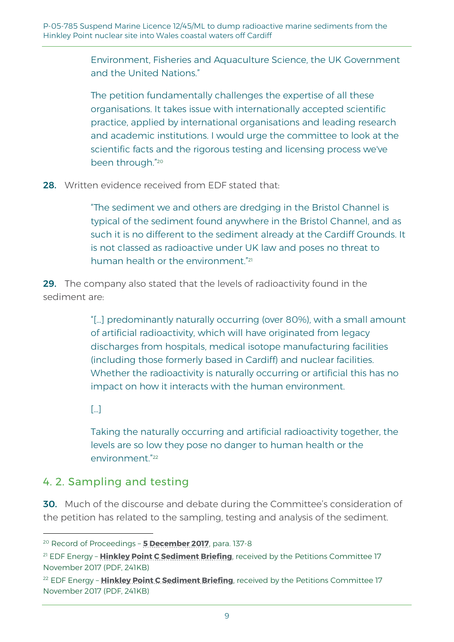Environment, Fisheries and Aquaculture Science, the UK Government and the United Nations."

The petition fundamentally challenges the expertise of all these organisations. It takes issue with internationally accepted scientific practice, applied by international organisations and leading research and academic institutions. I would urge the committee to look at the scientific facts and the rigorous testing and licensing process we've been through." 20

28. Written evidence received from EDF stated that:

"The sediment we and others are dredging in the Bristol Channel is typical of the sediment found anywhere in the Bristol Channel, and as such it is no different to the sediment already at the Cardiff Grounds. It is not classed as radioactive under UK law and poses no threat to human health or the environment."<sup>21</sup>

29. The company also stated that the levels of radioactivity found in the sediment are:

> "[…] predominantly naturally occurring (over 80%), with a small amount of artificial radioactivity, which will have originated from legacy discharges from hospitals, medical isotope manufacturing facilities (including those formerly based in Cardiff) and nuclear facilities. Whether the radioactivity is naturally occurring or artificial this has no impact on how it interacts with the human environment.

 $\lceil \cdot \cdot \rceil$ 

-

Taking the naturally occurring and artificial radioactivity together, the levels are so low they pose no danger to human health or the environment." 22

## 4. 2. Sampling and testing

30. Much of the discourse and debate during the Committee's consideration of the petition has related to the sampling, testing and analysis of the sediment.

<sup>20</sup> Record of Proceedings – **[5 December 2017](http://record.assembly.wales/Committee/4370#C42196)**, para. 137-8

<sup>21</sup> EDF Energy – **[Hinkley Point C Sediment Briefing](http://www.senedd.assembly.wales/documents/s69277/Hinkley%20Point%20C%20Sediment%20Briefing%20-%20EDF%20Energy.pdf)**, received by the Petitions Committee 17 November 2017 (PDF, 241KB)

<sup>22</sup> EDF Energy – **[Hinkley Point C Sediment Briefing](http://www.senedd.assembly.wales/documents/s69277/Hinkley%20Point%20C%20Sediment%20Briefing%20-%20EDF%20Energy.pdf)**, received by the Petitions Committee 17 November 2017 (PDF, 241KB)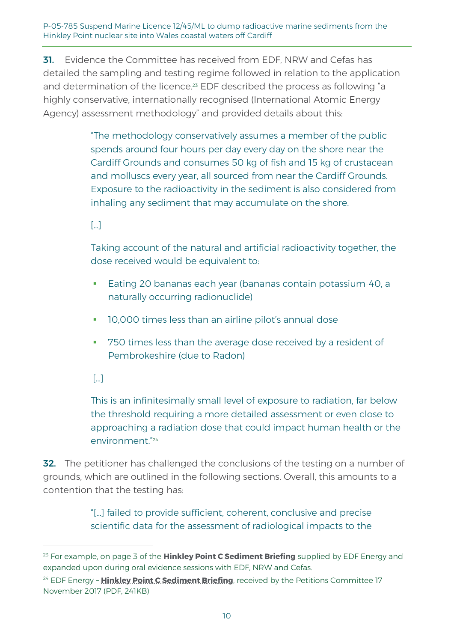**31.** Evidence the Committee has received from EDF. NRW and Cefas has detailed the sampling and testing regime followed in relation to the application and determination of the licence.<sup>23</sup> EDF described the process as following "a highly conservative, internationally recognised (International Atomic Energy Agency) assessment methodology" and provided details about this:

> "The methodology conservatively assumes a member of the public spends around four hours per day every day on the shore near the Cardiff Grounds and consumes 50 kg of fish and 15 kg of crustacean and molluscs every year, all sourced from near the Cardiff Grounds. Exposure to the radioactivity in the sediment is also considered from inhaling any sediment that may accumulate on the shore.

#### $\lceil \cdot \cdot \rceil$

Taking account of the natural and artificial radioactivity together, the dose received would be equivalent to:

- Eating 20 bananas each year (bananas contain potassium-40, a naturally occurring radionuclide)
- 10,000 times less than an airline pilot's annual dose
- The 750 times less than the average dose received by a resident of Pembrokeshire (due to Radon)

## […]

1

This is an infinitesimally small level of exposure to radiation, far below the threshold requiring a more detailed assessment or even close to approaching a radiation dose that could impact human health or the environment." 24

32. The petitioner has challenged the conclusions of the testing on a number of grounds, which are outlined in the following sections. Overall, this amounts to a contention that the testing has:

> "[…] failed to provide sufficient, coherent, conclusive and precise scientific data for the assessment of radiological impacts to the

<sup>23</sup> For example, on page 3 of the **[Hinkley Point C Sediment Briefing](http://www.senedd.assembly.wales/documents/s69277/Hinkley%20Point%20C%20Sediment%20Briefing%20-%20EDF%20Energy.pdf)** supplied by EDF Energy and expanded upon during oral evidence sessions with EDF, NRW and Cefas.

<sup>24</sup> EDF Energy – **Hinkley Point [C Sediment Briefing](http://www.senedd.assembly.wales/documents/s69277/Hinkley%20Point%20C%20Sediment%20Briefing%20-%20EDF%20Energy.pdf)**, received by the Petitions Committee 17 November 2017 (PDF, 241KB)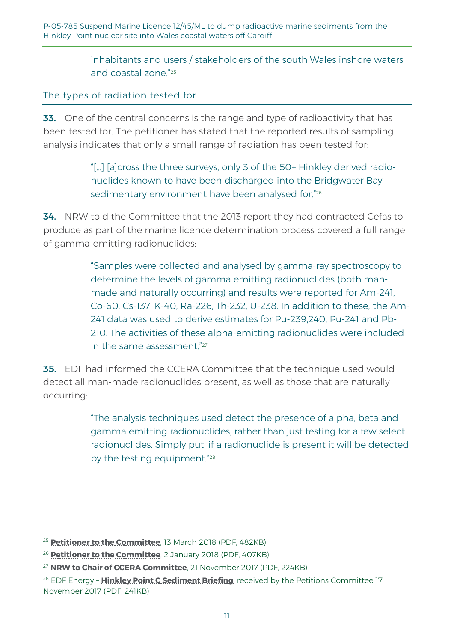inhabitants and users / stakeholders of the south Wales inshore waters and coastal zone." 25

The types of radiation tested for

33. One of the central concerns is the range and type of radioactivity that has been tested for. The petitioner has stated that the reported results of sampling analysis indicates that only a small range of radiation has been tested for:

> "[…] [a]cross the three surveys, only 3 of the 50+ Hinkley derived radionuclides known to have been discharged into the Bridgwater Bay sedimentary environment have been analysed for." 26

**34.** NRW told the Committee that the 2013 report they had contracted Cefas to produce as part of the marine licence determination process covered a full range of gamma-emitting radionuclides:

> "Samples were collected and analysed by gamma-ray spectroscopy to determine the levels of gamma emitting radionuclides (both manmade and naturally occurring) and results were reported for Am-241, Co-60, Cs-137, K-40, Ra-226, Th-232, U-238. In addition to these, the Am-241 data was used to derive estimates for Pu-239,240, Pu-241 and Pb-210. The activities of these alpha-emitting radionuclides were included in the same assessment." 27

**35.** EDF had informed the CCERA Committee that the technique used would detect all man-made radionuclides present, as well as those that are naturally occurring:

> "The analysis techniques used detect the presence of alpha, beta and gamma emitting radionuclides, rather than just testing for a few select radionuclides. Simply put, if a radionuclide is present it will be detected by the testing equipment."<sup>28</sup>

<sup>25</sup> **[Petitioner to the Committee](http://www.senedd.assembly.wales/documents/s74039/13.03.18%20Correspondence%20-%20Petitioner%20to%20the%20Committee.pdf)**, 13 March 2018 (PDF, 482KB)

<sup>26</sup> **[Petitioner to the Committee](http://www.senedd.assembly.wales/documents/s70513/02.01.18%20Correspondence%20-%20Petitioner%20to%20the%20Committee.pdf)**, 2 January 2018 (PDF, 407KB)

<sup>27</sup> **[NRW to Chair of CCERA Committee](http://www.senedd.assembly.wales/documents/s69281/21.11.2017%20Correspondence%20-%20Chair%20of%20NRW%20to%20Chair%20of%20CCERA%20Disposal%20of%20dredged%20sediment%20at%20sea.pdf)**, 21 November 2017 (PDF, 224KB)

<sup>&</sup>lt;sup>28</sup> EDF Energy - **[Hinkley Point C Sediment Briefing](http://www.senedd.assembly.wales/documents/s69277/Hinkley%20Point%20C%20Sediment%20Briefing%20-%20EDF%20Energy.pdf)**, received by the Petitions Committee 17 November 2017 (PDF, 241KB)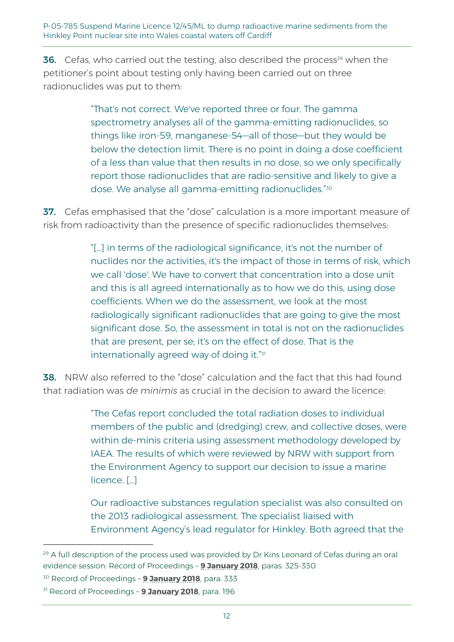**36.** Cefas, who carried out the testing, also described the process<sup>29</sup> when the petitioner's point about testing only having been carried out on three radionuclides was put to them:

> "That's not correct. We've reported three or four. The gamma spectrometry analyses all of the gamma-emitting radionuclides, so things like iron-59, manganese-54—all of those—but they would be below the detection limit. There is no point in doing a dose coefficient of a less than value that then results in no dose, so we only specifically report those radionuclides that are radio-sensitive and likely to give a dose. We analyse all gamma-emitting radionuclides." 30

37. Cefas emphasised that the "dose" calculation is a more important measure of risk from radioactivity than the presence of specific radionuclides themselves:

> "[…] in terms of the radiological significance, it's not the number of nuclides nor the activities, it's the impact of those in terms of risk, which we call 'dose'. We have to convert that concentration into a dose unit and this is all agreed internationally as to how we do this, using dose coefficients. When we do the assessment, we look at the most radiologically significant radionuclides that are going to give the most significant dose. So, the assessment in total is not on the radionuclides that are present, per se; it's on the effect of dose. That is the internationally agreed way of doing it."<sup>31</sup>

38. NRW also referred to the "dose" calculation and the fact that this had found that radiation was *de minimis* as crucial in the decision to award the licence:

> "The Cefas report concluded the total radiation doses to individual members of the public and (dredging) crew, and collective doses, were within de-minis criteria using assessment methodology developed by IAEA. The results of which were reviewed by NRW with support from the Environment Agency to support our decision to issue a marine licence. […]

> Our radioactive substances regulation specialist was also consulted on the 2013 radiological assessment. The specialist liaised with Environment Agency's lead regulator for Hinkley. Both agreed that the

<sup>&</sup>lt;sup>29</sup> A full description of the process used was provided by Dr Kins Leonard of Cefas during an oral evidence session: Record of Proceedings – **[9 January 2018](http://record.assembly.wales/Committee/4521#C48331)**, paras. 325-330

<sup>30</sup> Record of Proceedings – **[9 January 2018](http://record.assembly.wales/Committee/4521#C48078)**, para. 333

<sup>31</sup> Record of Proceedings – **[9 January 2018](http://record.assembly.wales/Committee/4521#C47507)**, para. 196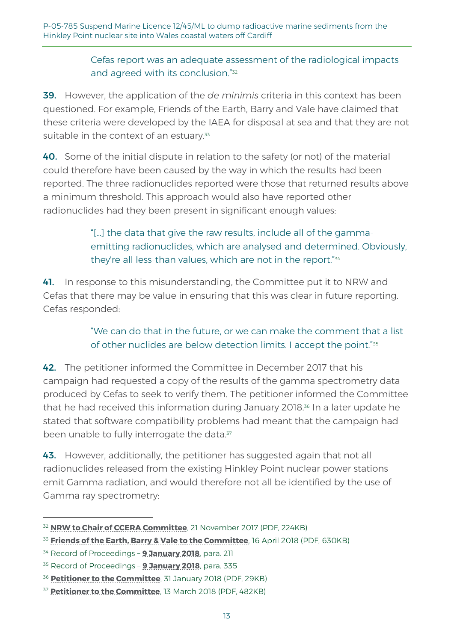#### Cefas report was an adequate assessment of the radiological impacts and agreed with its conclusion." 32

39. However, the application of the *de minimis* criteria in this context has been questioned. For example, Friends of the Earth, Barry and Vale have claimed that these criteria were developed by the IAEA for disposal at sea and that they are not suitable in the context of an estuary.<sup>33</sup>

40. Some of the initial dispute in relation to the safety (or not) of the material could therefore have been caused by the way in which the results had been reported. The three radionuclides reported were those that returned results above a minimum threshold. This approach would also have reported other radionuclides had they been present in significant enough values:

## "[…] the data that give the raw results, include all of the gammaemitting radionuclides, which are analysed and determined. Obviously, they're all less-than values, which are not in the report." 34

41. In response to this misunderstanding, the Committee put it to NRW and Cefas that there may be value in ensuring that this was clear in future reporting. Cefas responded:

> "We can do that in the future, or we can make the comment that a list of other nuclides are below detection limits. I accept the point."<sup>35</sup>

42. The petitioner informed the Committee in December 2017 that his campaign had requested a copy of the results of the gamma spectrometry data produced by Cefas to seek to verify them. The petitioner informed the Committee that he had received this information during January 2018. <sup>36</sup> In a later update he stated that software compatibility problems had meant that the campaign had been unable to fully interrogate the data.<sup>37</sup>

43. However, additionally, the petitioner has suggested again that not all radionuclides released from the existing Hinkley Point nuclear power stations emit Gamma radiation, and would therefore not all be identified by the use of Gamma ray spectrometry:

<sup>32</sup> **[NRW to Chair of CCERA Committee](http://www.senedd.assembly.wales/documents/s69281/21.11.2017%20Correspondence%20-%20Chair%20of%20NRW%20to%20Chair%20of%20CCERA%20Disposal%20of%20dredged%20sediment%20at%20sea.pdf)**, 21 November 2017 (PDF, 224KB)

<sup>33</sup> **[Friends of the Earth, Barry & Vale to the Committee](http://www.senedd.assembly.wales/documents/s74842/16.04.18%20Correspondence%20-%20Friends%20of%20the%20Earth%20Barry%20Vale%20to%20the%20Chair.pdf)**, 16 April 2018 (PDF, 630KB)

<sup>34</sup> Record of Proceedings – **[9 January 2018](http://record.assembly.wales/Committee/4521#C47481)**, para. 211

<sup>35</sup> Record of Proceedings – **[9 January 2018](http://record.assembly.wales/Committee/4521#C48113)**, para. 335

<sup>36</sup> **[Petitioner to the Committee](http://www.senedd.assembly.wales/documents/s71725/31.01.18%20Correspondence%20-%20Petitioner%20to%20the%20Committee.pdf)**, 31 January 2018 (PDF, 29KB)

<sup>37</sup> **[Petitioner to the Committee](http://www.senedd.assembly.wales/documents/s74039/13.03.18%20Correspondence%20-%20Petitioner%20to%20the%20Committee.pdf)**, 13 March 2018 (PDF, 482KB)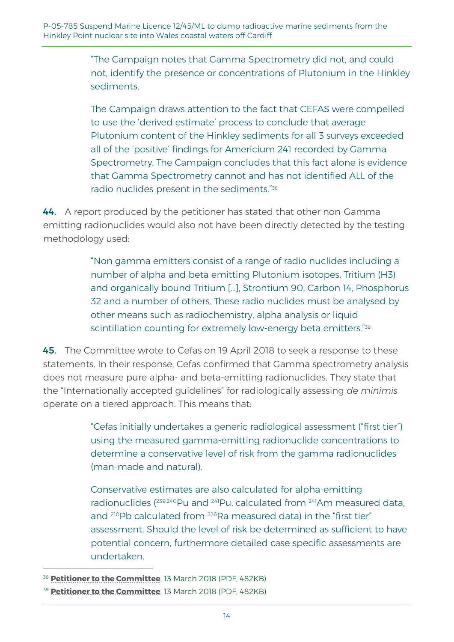"The Campaign notes that Gamma Spectrometry did not, and could not, identify the presence or concentrations of Plutonium in the Hinkley sediments.

The Campaign draws attention to the fact that CEFAS were compelled to use the 'derived estimate' process to conclude that average Plutonium content of the Hinkley sediments for all 3 surveys exceeded all of the 'positive' findings for Americium 241 recorded by Gamma Spectrometry. The Campaign concludes that this fact alone is evidence that Gamma Spectrometry cannot and has not identified ALL of the radio nuclides present in the sediments." 38

44. A report produced by the petitioner has stated that other non-Gamma emitting radionuclides would also not have been directly detected by the testing methodology used:

> "Non gamma emitters consist of a range of radio nuclides including a number of alpha and beta emitting Plutonium isotopes, Tritium (H3) and organically bound Tritium […], Strontium 90, Carbon 14, Phosphorus 32 and a number of others. These radio nuclides must be analysed by other means such as radiochemistry, alpha analysis or liquid scintillation counting for extremely low-energy beta emitters." 39

45. The Committee wrote to Cefas on 19 April 2018 to seek a response to these statements. In their response, Cefas confirmed that Gamma spectrometry analysis does not measure pure alpha- and beta-emitting radionuclides. They state that the "Internationally accepted guidelines" for radiologically assessing *de minimis* operate on a tiered approach. This means that:

> "Cefas initially undertakes a generic radiological assessment ("first tier") using the measured gamma-emitting radionuclide concentrations to determine a conservative level of risk from the gamma radionuclides (man-made and natural).

Conservative estimates are also calculated for alpha-emitting radionuclides (<sup>239,240</sup>Pu and <sup>241</sup>Pu, calculated from <sup>241</sup>Am measured data, and <sup>210</sup>Pb calculated from <sup>226</sup>Ra measured data) in the "first tier" assessment. Should the level of risk be determined as sufficient to have potential concern, furthermore detailed case specific assessments are undertaken.

<sup>38</sup> **[Petitioner to the Committee](http://www.senedd.assembly.wales/documents/s74039/13.03.18%20Correspondence%20-%20Petitioner%20to%20the%20Committee.pdf)**, 13 March 2018 (PDF, 482KB)

<sup>39</sup> **[Petitioner to the Committee](http://www.senedd.assembly.wales/documents/s74039/13.03.18%20Correspondence%20-%20Petitioner%20to%20the%20Committee.pdf)**, 13 March 2018 (PDF, 482KB)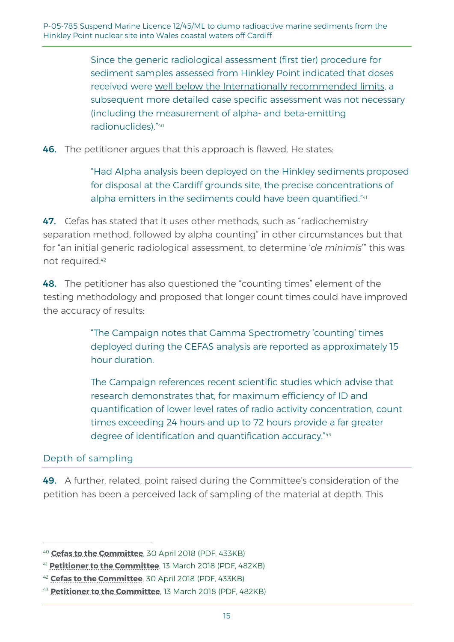Since the generic radiological assessment (first tier) procedure for sediment samples assessed from Hinkley Point indicated that doses received were well below the Internationally recommended limits, a subsequent more detailed case specific assessment was not necessary (including the measurement of alpha- and beta-emitting radionuclides)." 40

46. The petitioner argues that this approach is flawed. He states:

"Had Alpha analysis been deployed on the Hinkley sediments proposed for disposal at the Cardiff grounds site, the precise concentrations of alpha emitters in the sediments could have been quantified."41

47. Cefas has stated that it uses other methods, such as "radiochemistry separation method, followed by alpha counting" in other circumstances but that for "an initial generic radiological assessment, to determine '*de minimis*'" this was not required.<sup>42</sup>

48. The petitioner has also questioned the "counting times" element of the testing methodology and proposed that longer count times could have improved the accuracy of results:

> "The Campaign notes that Gamma Spectrometry 'counting' times deployed during the CEFAS analysis are reported as approximately 15 hour duration.

The Campaign references recent scientific studies which advise that research demonstrates that, for maximum efficiency of ID and quantification of lower level rates of radio activity concentration, count times exceeding 24 hours and up to 72 hours provide a far greater degree of identification and quantification accuracy." 43

#### Depth of sampling

-

49. A further, related, point raised during the Committee's consideration of the petition has been a perceived lack of sampling of the material at depth. This

<sup>40</sup> **[Cefas to the Committee](http://www.senedd.assembly.wales/documents/s75277/Correspondence%20-%20Cefas%20to%20the%20Chair%2030%20April%202018.pdf)**, 30 April 2018 (PDF, 433KB)

<sup>41</sup> **[Petitioner to the Committee](http://www.senedd.assembly.wales/documents/s74039/13.03.18%20Correspondence%20-%20Petitioner%20to%20the%20Committee.pdf)**, 13 March 2018 (PDF, 482KB)

<sup>42</sup> **[Cefas to the Committee](http://www.senedd.assembly.wales/documents/s75277/Correspondence%20-%20Cefas%20to%20the%20Chair%2030%20April%202018.pdf)**, 30 April 2018 (PDF, 433KB)

<sup>43</sup> **[Petitioner to the Committee](http://www.senedd.assembly.wales/documents/s74039/13.03.18%20Correspondence%20-%20Petitioner%20to%20the%20Committee.pdf)**, 13 March 2018 (PDF, 482KB)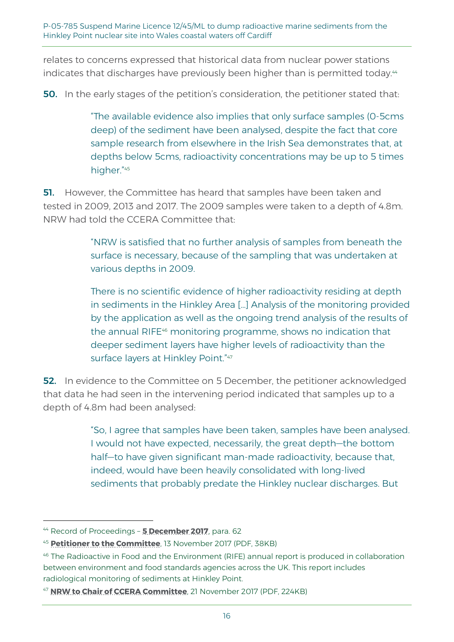relates to concerns expressed that historical data from nuclear power stations indicates that discharges have previously been higher than is permitted today.<sup>44</sup>

**50.** In the early stages of the petition's consideration, the petitioner stated that:

"The available evidence also implies that only surface samples (0-5cms deep) of the sediment have been analysed, despite the fact that core sample research from elsewhere in the Irish Sea demonstrates that, at depths below 5cms, radioactivity concentrations may be up to 5 times higher." 45

**51.** However, the Committee has heard that samples have been taken and tested in 2009, 2013 and 2017. The 2009 samples were taken to a depth of 4.8m. NRW had told the CCERA Committee that:

> "NRW is satisfied that no further analysis of samples from beneath the surface is necessary, because of the sampling that was undertaken at various depths in 2009.

There is no scientific evidence of higher radioactivity residing at depth in sediments in the Hinkley Area […] Analysis of the monitoring provided by the application as well as the ongoing trend analysis of the results of the annual RIFE<sup>46</sup> monitoring programme, shows no indication that deeper sediment layers have higher levels of radioactivity than the surface layers at Hinkley Point."47

52. In evidence to the Committee on 5 December, the petitioner acknowledged that data he had seen in the intervening period indicated that samples up to a depth of 4.8m had been analysed:

> "So, I agree that samples have been taken, samples have been analysed. I would not have expected, necessarily, the great depth—the bottom half—to have given significant man-made radioactivity, because that, indeed, would have been heavily consolidated with long-lived sediments that probably predate the Hinkley nuclear discharges. But

<sup>44</sup> Record of Proceedings – **[5 December 2017](http://record.assembly.wales/Committee/4370#C41520)**, para. 62

<sup>45</sup> **[Petitioner to the Committee](http://www.senedd.assembly.wales/documents/s68543/13.11.17%20Correspondence%20-%20Petitioner%20to%20the%20Committee.pdf)**, 13 November 2017 (PDF, 38KB)

<sup>46</sup> The Radioactive in Food and the Environment (RIFE) annual report is produced in collaboration between environment and food standards agencies across the UK. This report includes radiological monitoring of sediments at Hinkley Point.

<sup>47</sup> **[NRW to Chair of CCERA Committee](http://www.senedd.assembly.wales/documents/s69281/21.11.2017%20Correspondence%20-%20Chair%20of%20NRW%20to%20Chair%20of%20CCERA%20Disposal%20of%20dredged%20sediment%20at%20sea.pdf)**, 21 November 2017 (PDF, 224KB)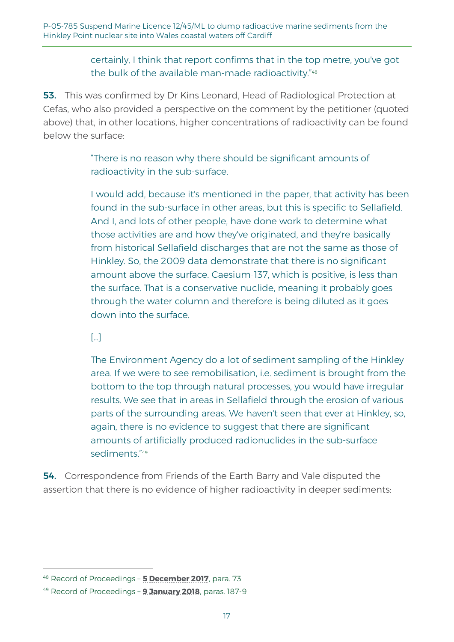#### certainly, I think that report confirms that in the top metre, you've got the bulk of the available man-made radioactivity." 48

53. This was confirmed by Dr Kins Leonard, Head of Radiological Protection at Cefas, who also provided a perspective on the comment by the petitioner (quoted above) that, in other locations, higher concentrations of radioactivity can be found below the surface:

> "There is no reason why there should be significant amounts of radioactivity in the sub-surface.

I would add, because it's mentioned in the paper, that activity has been found in the sub-surface in other areas, but this is specific to Sellafield. And I, and lots of other people, have done work to determine what those activities are and how they've originated, and they're basically from historical Sellafield discharges that are not the same as those of Hinkley. So, the 2009 data demonstrate that there is no significant amount above the surface. Caesium-137, which is positive, is less than the surface. That is a conservative nuclide, meaning it probably goes through the water column and therefore is being diluted as it goes down into the surface.

[…]

-

The Environment Agency do a lot of sediment sampling of the Hinkley area. If we were to see remobilisation, i.e. sediment is brought from the bottom to the top through natural processes, you would have irregular results. We see that in areas in Sellafield through the erosion of various parts of the surrounding areas. We haven't seen that ever at Hinkley, so, again, there is no evidence to suggest that there are significant amounts of artificially produced radionuclides in the sub-surface sediments." 49

54. Correspondence from Friends of the Earth Barry and Vale disputed the assertion that there is no evidence of higher radioactivity in deeper sediments:

<sup>48</sup> Record of Proceedings – **[5 December 2017](http://record.assembly.wales/Committee/4370#C41736)**, para. 73

<sup>49</sup> Record of Proceedings – **[9 January 2018](http://record.assembly.wales/Committee/4521#C47704)**, paras. 187-9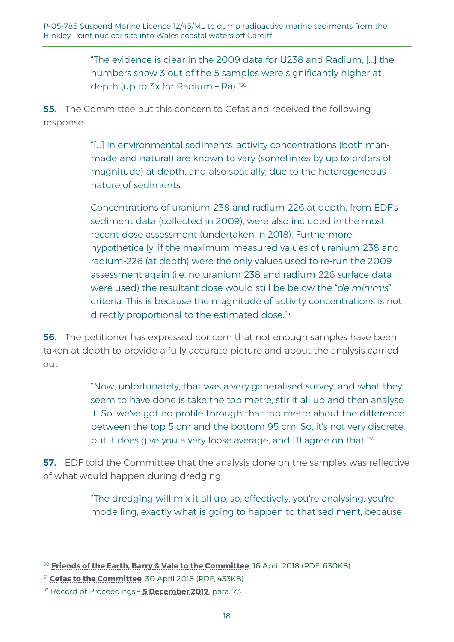"The evidence is clear in the 2009 data for U238 and Radium, […] the numbers show 3 out of the 5 samples were significantly higher at depth (up to 3x for Radium – Ra)." 50

**55.** The Committee put this concern to Cefas and received the following response:

> "[…] in environmental sediments, activity concentrations (both manmade and natural) are known to vary (sometimes by up to orders of magnitude) at depth, and also spatially, due to the heterogeneous nature of sediments.

Concentrations of uranium-238 and radium-226 at depth, from EDF's sediment data (collected in 2009), were also included in the most recent dose assessment (undertaken in 2018). Furthermore, hypothetically, if the maximum measured values of uranium-238 and radium-226 (at depth) were the only values used to re-run the 2009 assessment again (i.e. no uranium-238 and radium-226 surface data were used) the resultant dose would still be below the "*de minimis*" criteria. This is because the magnitude of activity concentrations is not directly proportional to the estimated dose." 51

**56.** The petitioner has expressed concern that not enough samples have been taken at depth to provide a fully accurate picture and about the analysis carried out:

> "Now, unfortunately, that was a very generalised survey, and what they seem to have done is take the top metre, stir it all up and then analyse it. So, we've got no profile through that top metre about the difference between the top 5 cm and the bottom 95 cm. So, it's not very discrete, but it does give you a very loose average, and I'll agree on that."<sup>52</sup>

**57.** EDF told the Committee that the analysis done on the samples was reflective of what would happen during dredging:

> "The dredging will mix it all up, so, effectively, you're analysing, you're modelling, exactly what is going to happen to that sediment, because

<sup>50</sup> **[Friends of the Earth, Barry & Vale to the Committee](http://www.senedd.assembly.wales/documents/s74842/16.04.18%20Correspondence%20-%20Friends%20of%20the%20Earth%20Barry%20Vale%20to%20the%20Chair.pdf)**, 16 April 2018 (PDF, 630KB)

<sup>51</sup> **[Cefas to the Committee](http://www.senedd.assembly.wales/documents/s75277/Correspondence%20-%20Cefas%20to%20the%20Chair%2030%20April%202018.pdf)**, 30 April 2018 (PDF, 433KB)

<sup>52</sup> Record of Proceedings – **[5 December 2017](http://record.assembly.wales/Committee/4370#C41736)**, para. 73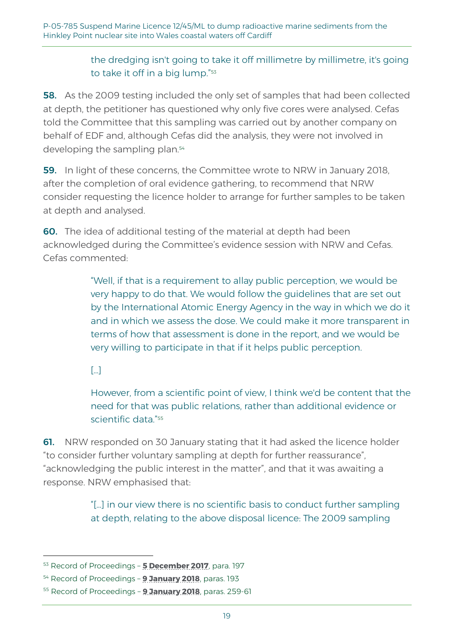#### the dredging isn't going to take it off millimetre by millimetre, it's going to take it off in a big lump." 53

**58.** As the 2009 testing included the only set of samples that had been collected at depth, the petitioner has questioned why only five cores were analysed. Cefas told the Committee that this sampling was carried out by another company on behalf of EDF and, although Cefas did the analysis, they were not involved in developing the sampling plan.<sup>54</sup>

59. In light of these concerns, the Committee wrote to NRW in January 2018, after the completion of oral evidence gathering, to recommend that NRW consider requesting the licence holder to arrange for further samples to be taken at depth and analysed.

60. The idea of additional testing of the material at depth had been acknowledged during the Committee's evidence session with NRW and Cefas. Cefas commented:

> "Well, if that is a requirement to allay public perception, we would be very happy to do that. We would follow the guidelines that are set out by the International Atomic Energy Agency in the way in which we do it and in which we assess the dose. We could make it more transparent in terms of how that assessment is done in the report, and we would be very willing to participate in that if it helps public perception.

[…]

-

However, from a scientific point of view, I think we'd be content that the need for that was public relations, rather than additional evidence or scientific data." 55

61. NRW responded on 30 January stating that it had asked the licence holder "to consider further voluntary sampling at depth for further reassurance", "acknowledging the public interest in the matter", and that it was awaiting a response. NRW emphasised that:

> "[…] in our view there is no scientific basis to conduct further sampling at depth, relating to the above disposal licence: The 2009 sampling

<sup>53</sup> Record of Proceedings – **[5 December 2017](http://record.assembly.wales/Committee/4370#C42147)**, para. 197

<sup>54</sup> Record of Proceedings – **[9 January 2018](http://record.assembly.wales/Committee/4521#C47704)**, paras. 193

<sup>55</sup> Record of Proceedings – **[9 January 2018](http://record.assembly.wales/Committee/4521#C48131)**, paras. 259-61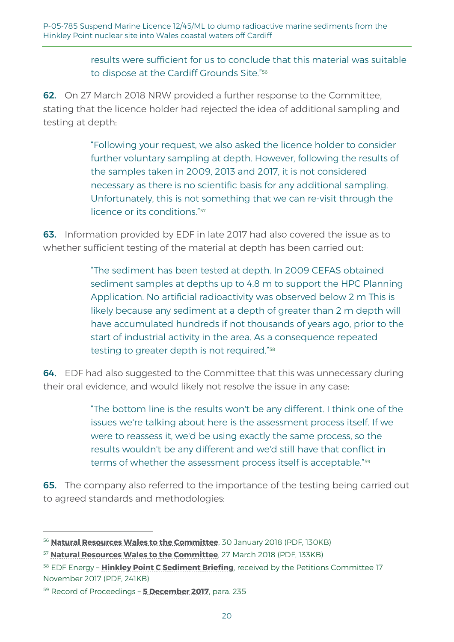#### results were sufficient for us to conclude that this material was suitable to dispose at the Cardiff Grounds Site." 56

62. On 27 March 2018 NRW provided a further response to the Committee, stating that the licence holder had rejected the idea of additional sampling and testing at depth:

> "Following your request, we also asked the licence holder to consider further voluntary sampling at depth. However, following the results of the samples taken in 2009, 2013 and 2017, it is not considered necessary as there is no scientific basis for any additional sampling. Unfortunately, this is not something that we can re-visit through the licence or its conditions." 57

63. Information provided by EDF in late 2017 had also covered the issue as to whether sufficient testing of the material at depth has been carried out:

> "The sediment has been tested at depth. In 2009 CEFAS obtained sediment samples at depths up to 4.8 m to support the HPC Planning Application. No artificial radioactivity was observed below 2 m This is likely because any sediment at a depth of greater than 2 m depth will have accumulated hundreds if not thousands of years ago, prior to the start of industrial activity in the area. As a consequence repeated testing to greater depth is not required." 58

64. EDF had also suggested to the Committee that this was unnecessary during their oral evidence, and would likely not resolve the issue in any case:

> "The bottom line is the results won't be any different. I think one of the issues we're talking about here is the assessment process itself. If we were to reassess it, we'd be using exactly the same process, so the results wouldn't be any different and we'd still have that conflict in terms of whether the assessment process itself is acceptable." 59

**65.** The company also referred to the importance of the testing being carried out to agreed standards and methodologies:

<sup>56</sup> **[Natural Resources Wales to the Committee](http://www.senedd.assembly.wales/documents/s71664/30.01.18%20-%20Correspondence%20-%20Natural%20Resources%20Wales%20to%20the%20Chair.pdf)**, 30 January 2018 (PDF, 130KB)

<sup>57</sup> **[Natural Resources Wales to the Committee](http://senedd.assembly.wales/documents/s74040/27.0318%20Correspondence%20-%20Natural%20Resources%20Wales%20to%20the%20Chair.pdf)**, 27 March 2018 (PDF, 133KB)

<sup>58</sup> EDF Energy – **[Hinkley Point C Sediment Briefing](http://www.senedd.assembly.wales/documents/s69277/Hinkley%20Point%20C%20Sediment%20Briefing%20-%20EDF%20Energy.pdf)**, received by the Petitions Committee 17 November 2017 (PDF, 241KB)

<sup>59</sup> Record of Proceedings – **[5 December 2017](http://record.assembly.wales/Committee/4370#C42222)**, para. 235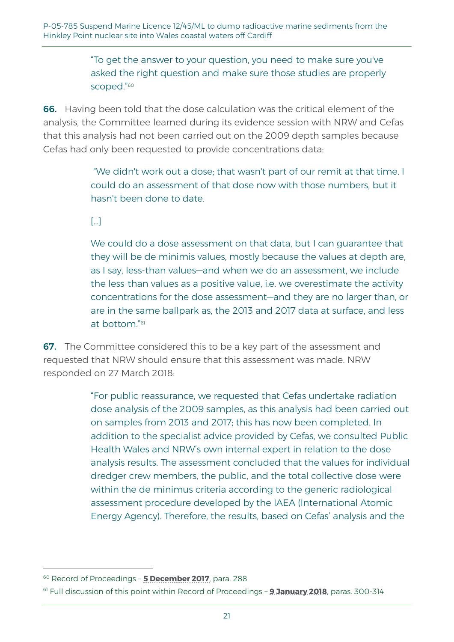"To get the answer to your question, you need to make sure you've asked the right question and make sure those studies are properly scoped."<sup>60</sup>

66. Having been told that the dose calculation was the critical element of the analysis, the Committee learned during its evidence session with NRW and Cefas that this analysis had not been carried out on the 2009 depth samples because Cefas had only been requested to provide concentrations data:

> "We didn't work out a dose; that wasn't part of our remit at that time. I could do an assessment of that dose now with those numbers, but it hasn't been done to date.

#### $\lceil \cdot \cdot \rceil$

We could do a dose assessment on that data, but I can guarantee that they will be de minimis values, mostly because the values at depth are, as I say, less-than values—and when we do an assessment, we include the less-than values as a positive value, i.e. we overestimate the activity concentrations for the dose assessment—and they are no larger than, or are in the same ballpark as, the 2013 and 2017 data at surface, and less at bottom." 61

**67.** The Committee considered this to be a key part of the assessment and requested that NRW should ensure that this assessment was made. NRW responded on 27 March 2018:

> "For public reassurance, we requested that Cefas undertake radiation dose analysis of the 2009 samples, as this analysis had been carried out on samples from 2013 and 2017; this has now been completed. In addition to the specialist advice provided by Cefas, we consulted Public Health Wales and NRW's own internal expert in relation to the dose analysis results. The assessment concluded that the values for individual dredger crew members, the public, and the total collective dose were within the de minimus criteria according to the generic radiological assessment procedure developed by the IAEA (International Atomic Energy Agency). Therefore, the results, based on Cefas' analysis and the

<sup>60</sup> Record of Proceedings – **[5 December 2017](http://record.assembly.wales/Committee/4370#C42524)**, para. 288

<sup>61</sup> Full discussion of this point within Record of Proceedings – **[9 January 2018](http://record.assembly.wales/Committee/4521#C48123)**, paras. 300-314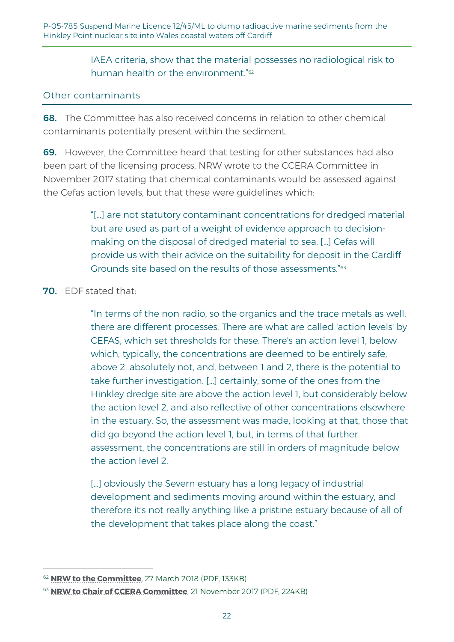IAEA criteria, show that the material possesses no radiological risk to human health or the environment." 62

#### Other contaminants

68. The Committee has also received concerns in relation to other chemical contaminants potentially present within the sediment.

**69.** However, the Committee heard that testing for other substances had also been part of the licensing process. NRW wrote to the CCERA Committee in November 2017 stating that chemical contaminants would be assessed against the Cefas action levels, but that these were guidelines which:

> "[…] are not statutory contaminant concentrations for dredged material but are used as part of a weight of evidence approach to decisionmaking on the disposal of dredged material to sea. […] Cefas will provide us with their advice on the suitability for deposit in the Cardiff Grounds site based on the results of those assessments." 63

#### 70. EDF stated that:

-

"In terms of the non-radio, so the organics and the trace metals as well, there are different processes. There are what are called 'action levels' by CEFAS, which set thresholds for these. There's an action level 1, below which, typically, the concentrations are deemed to be entirely safe, above 2, absolutely not, and, between 1 and 2, there is the potential to take further investigation. […] certainly, some of the ones from the Hinkley dredge site are above the action level 1, but considerably below the action level 2, and also reflective of other concentrations elsewhere in the estuary. So, the assessment was made, looking at that, those that did go beyond the action level 1, but, in terms of that further assessment, the concentrations are still in orders of magnitude below the action level 2.

[...] obviously the Severn estuary has a long legacy of industrial development and sediments moving around within the estuary, and therefore it's not really anything like a pristine estuary because of all of the development that takes place along the coast."

<sup>62</sup> **[NRW to the Committee](http://senedd.assembly.wales/documents/s74040/27.0318%20Correspondence%20-%20Natural%20Resources%20Wales%20to%20the%20Chair.pdf)**, 27 March 2018 (PDF, 133KB)

<sup>63</sup> **[NRW to Chair of CCERA Committee](http://www.senedd.assembly.wales/documents/s69281/21.11.2017%20Correspondence%20-%20Chair%20of%20NRW%20to%20Chair%20of%20CCERA%20Disposal%20of%20dredged%20sediment%20at%20sea.pdf)**, 21 November 2017 (PDF, 224KB)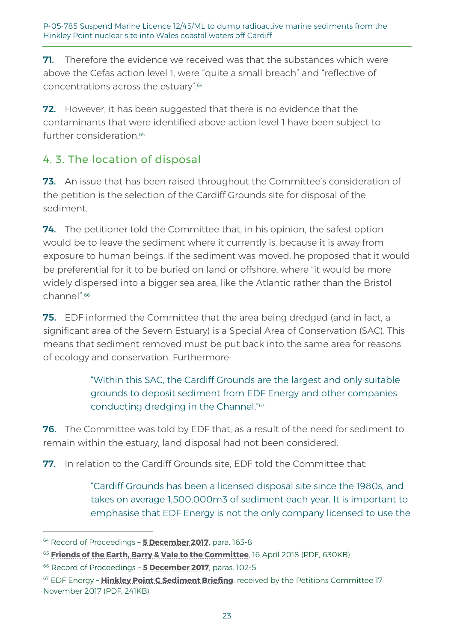**71.** Therefore the evidence we received was that the substances which were above the Cefas action level 1, were "quite a small breach" and "reflective of concentrations across the estuary". 64

**72.** However, it has been suggested that there is no evidence that the contaminants that were identified above action level 1 have been subject to further consideration. 65

## 4. 3. The location of disposal

73. An issue that has been raised throughout the Committee's consideration of the petition is the selection of the Cardiff Grounds site for disposal of the sediment.

74. The petitioner told the Committee that, in his opinion, the safest option would be to leave the sediment where it currently is, because it is away from exposure to human beings. If the sediment was moved, he proposed that it would be preferential for it to be buried on land or offshore, where "it would be more widely dispersed into a bigger sea area, like the Atlantic rather than the Bristol channel". 66

**75.** EDF informed the Committee that the area being dredged (and in fact, a significant area of the Severn Estuary) is a Special Area of Conservation (SAC). This means that sediment removed must be put back into the same area for reasons of ecology and conservation. Furthermore:

> "Within this SAC, the Cardiff Grounds are the largest and only suitable grounds to deposit sediment from EDF Energy and other companies conducting dredging in the Channel." 67

76. The Committee was told by EDF that, as a result of the need for sediment to remain within the estuary, land disposal had not been considered.

77. In relation to the Cardiff Grounds site. EDF told the Committee that:

"Cardiff Grounds has been a licensed disposal site since the 1980s, and takes on average 1,500,000m3 of sediment each year. It is important to emphasise that EDF Energy is not the only company licensed to use the

<sup>64</sup> Record of Proceedings – **[5 December 2017](http://record.assembly.wales/Committee/4370#C41736)**, para. 163-8

<sup>65</sup> **[Friends of the Earth, Barry & Vale to the Committee](http://www.senedd.assembly.wales/documents/s74842/16.04.18%20Correspondence%20-%20Friends%20of%20the%20Earth%20Barry%20Vale%20to%20the%20Chair.pdf)**, 16 April 2018 (PDF, 630KB)

<sup>66</sup> Record of Proceedings – **[5 December 2017](http://record.assembly.wales/Committee/4370#C41618)**, paras. 102-5

<sup>67</sup> EDF Energy – **[Hinkley Point C Sediment Briefing](http://www.senedd.assembly.wales/documents/s69277/Hinkley%20Point%20C%20Sediment%20Briefing%20-%20EDF%20Energy.pdf)**, received by the Petitions Committee 17 November 2017 (PDF, 241KB)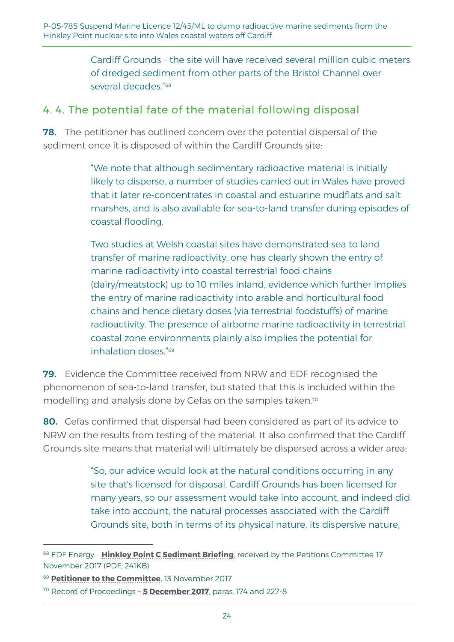Cardiff Grounds - the site will have received several million cubic meters of dredged sediment from other parts of the Bristol Channel over several decades." 68

## 4. 4. The potential fate of the material following disposal

**78.** The petitioner has outlined concern over the potential dispersal of the sediment once it is disposed of within the Cardiff Grounds site:

> "We note that although sedimentary radioactive material is initially likely to disperse, a number of studies carried out in Wales have proved that it later re-concentrates in coastal and estuarine mudflats and salt marshes, and is also available for sea-to-land transfer during episodes of coastal flooding.

Two studies at Welsh coastal sites have demonstrated sea to land transfer of marine radioactivity, one has clearly shown the entry of marine radioactivity into coastal terrestrial food chains (dairy/meatstock) up to 10 miles inland, evidence which further implies the entry of marine radioactivity into arable and horticultural food chains and hence dietary doses (via terrestrial foodstuffs) of marine radioactivity. The presence of airborne marine radioactivity in terrestrial coastal zone environments plainly also implies the potential for inhalation doses." 69

79. Evidence the Committee received from NRW and EDF recognised the phenomenon of sea-to-land transfer, but stated that this is included within the modelling and analysis done by Cefas on the samples taken.<sup>70</sup>

80. Cefas confirmed that dispersal had been considered as part of its advice to NRW on the results from testing of the material. It also confirmed that the Cardiff Grounds site means that material will ultimately be dispersed across a wider area:

> "So, our advice would look at the natural conditions occurring in any site that's licensed for disposal. Cardiff Grounds has been licensed for many years, so our assessment would take into account, and indeed did take into account, the natural processes associated with the Cardiff Grounds site, both in terms of its physical nature, its dispersive nature,

<sup>&</sup>lt;sup>68</sup> EDF Energy - **[Hinkley Point C Sediment Briefing](http://www.senedd.assembly.wales/documents/s69277/Hinkley%20Point%20C%20Sediment%20Briefing%20-%20EDF%20Energy.pdf)**, received by the Petitions Committee 17 November 2017 (PDF, 241KB)

<sup>69</sup> **[Petitioner to the Committee](http://www.senedd.assembly.wales/documents/s68543/13.11.17%20Correspondence%20-%20Petitioner%20to%20the%20Committee.pdf)**, 13 November 2017

<sup>70</sup> Record of Proceedings – **[5 December 2017](http://record.assembly.wales/Committee/4370#C42201)**, paras. 174 and 227-8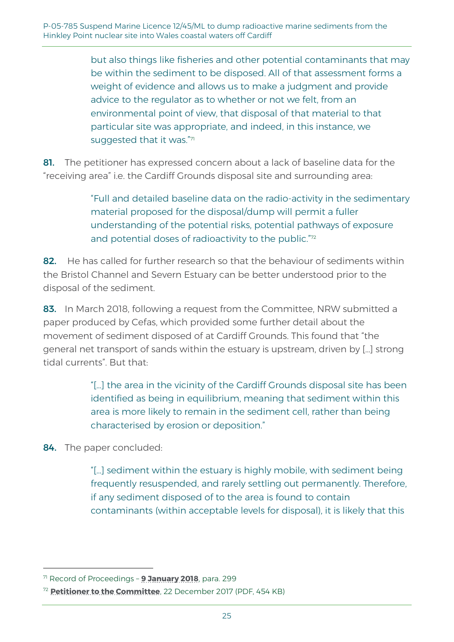but also things like fisheries and other potential contaminants that may be within the sediment to be disposed. All of that assessment forms a weight of evidence and allows us to make a judgment and provide advice to the regulator as to whether or not we felt, from an environmental point of view, that disposal of that material to that particular site was appropriate, and indeed, in this instance, we suggested that it was." $^\eta$ 

81. The petitioner has expressed concern about a lack of baseline data for the "receiving area" i.e. the Cardiff Grounds disposal site and surrounding area:

> "Full and detailed baseline data on the radio-activity in the sedimentary material proposed for the disposal/dump will permit a fuller understanding of the potential risks, potential pathways of exposure and potential doses of radioactivity to the public."72

82. He has called for further research so that the behaviour of sediments within the Bristol Channel and Severn Estuary can be better understood prior to the disposal of the sediment.

83. In March 2018, following a request from the Committee, NRW submitted a paper produced by Cefas, which provided some further detail about the movement of sediment disposed of at Cardiff Grounds. This found that "the general net transport of sands within the estuary is upstream, driven by […] strong tidal currents". But that:

> "[…] the area in the vicinity of the Cardiff Grounds disposal site has been identified as being in equilibrium, meaning that sediment within this area is more likely to remain in the sediment cell, rather than being characterised by erosion or deposition."

84. The paper concluded:

-

"[…] sediment within the estuary is highly mobile, with sediment being frequently resuspended, and rarely settling out permanently. Therefore, if any sediment disposed of to the area is found to contain contaminants (within acceptable levels for disposal), it is likely that this

<sup>71</sup> Record of Proceedings – **[9 January 2018](http://record.assembly.wales/Committee/4521#C48102)**, para. 299

<sup>72</sup> **[Petitioner to the Committee](http://www.senedd.assembly.wales/documents/s70512/22.12.17%20Correspondence%20-%20Petitioner%20to%20the%20Committee.pdf)**, 22 December 2017 (PDF, 454 KB)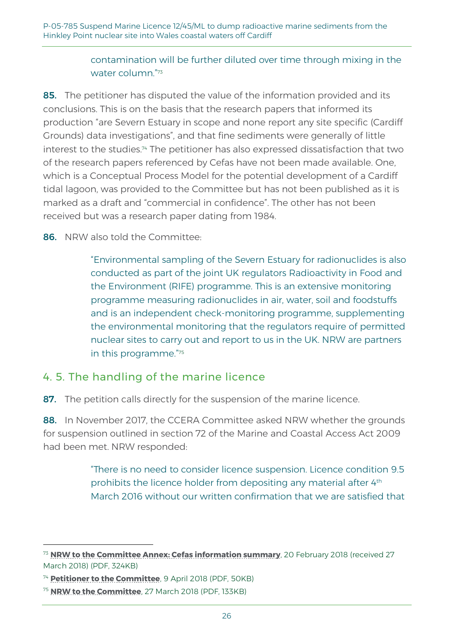#### contamination will be further diluted over time through mixing in the water column." 73

85. The petitioner has disputed the value of the information provided and its conclusions. This is on the basis that the research papers that informed its production "are Severn Estuary in scope and none report any site specific (Cardiff Grounds) data investigations", and that fine sediments were generally of little interest to the studies.<sup>74</sup> The petitioner has also expressed dissatisfaction that two of the research papers referenced by Cefas have not been made available. One, which is a Conceptual Process Model for the potential development of a Cardiff tidal lagoon, was provided to the Committee but has not been published as it is marked as a draft and "commercial in confidence". The other has not been received but was a research paper dating from 1984.

86. NRW also told the Committee:

"Environmental sampling of the Severn Estuary for radionuclides is also conducted as part of the joint UK regulators Radioactivity in Food and the Environment (RIFE) programme. This is an extensive monitoring programme measuring radionuclides in air, water, soil and foodstuffs and is an independent check-monitoring programme, supplementing the environmental monitoring that the regulators require of permitted nuclear sites to carry out and report to us in the UK. NRW are partners in this programme." 75

## 4. 5. The handling of the marine licence

87. The petition calls directly for the suspension of the marine licence.

88. In November 2017, the CCERA Committee asked NRW whether the grounds for suspension outlined in section 72 of the Marine and Coastal Access Act 2009 had been met. NRW responded:

> "There is no need to consider licence suspension. Licence condition 9.5 prohibits the licence holder from depositing any material after 4<sup>th</sup> March 2016 without our written confirmation that we are satisfied that

<sup>73</sup> **[NRW to the Committee Annex: Cefas information summary](http://senedd.assembly.wales/documents/s74041/Annex%20-%20Cefas%20Information%20Summary.pdf)**, 20 February 2018 (received 27 March 2018) (PDF, 324KB)

<sup>74</sup> **[Petitioner to the Committee](http://www.senedd.assembly.wales/documents/s74042/09.04.18%20Correspondence%20-%20Petitioner%20to%20the%20Committee.pdf)**, 9 April 2018 (PDF, 50KB)

<sup>75</sup> **[NRW to the Committee](http://senedd.assembly.wales/documents/s74040/27.0318%20Correspondence%20-%20Natural%20Resources%20Wales%20to%20the%20Chair.pdf)**, 27 March 2018 (PDF, 133KB)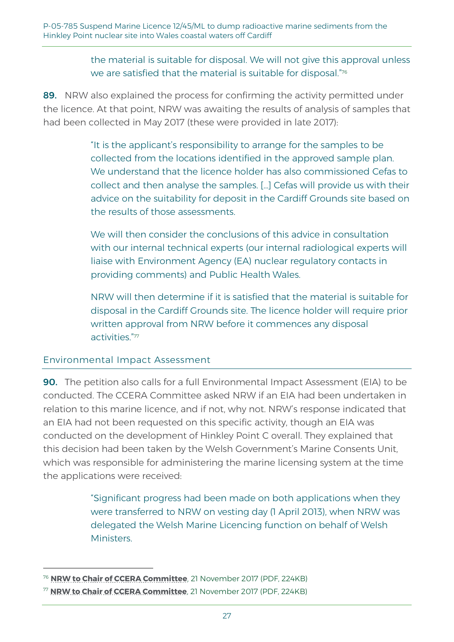the material is suitable for disposal. We will not give this approval unless we are satisfied that the material is suitable for disposal." $^{\rm 76}$ 

89. NRW also explained the process for confirming the activity permitted under the licence. At that point, NRW was awaiting the results of analysis of samples that had been collected in May 2017 (these were provided in late 2017):

> "It is the applicant's responsibility to arrange for the samples to be collected from the locations identified in the approved sample plan. We understand that the licence holder has also commissioned Cefas to collect and then analyse the samples. […] Cefas will provide us with their advice on the suitability for deposit in the Cardiff Grounds site based on the results of those assessments.

> We will then consider the conclusions of this advice in consultation with our internal technical experts (our internal radiological experts will liaise with Environment Agency (EA) nuclear regulatory contacts in providing comments) and Public Health Wales.

> NRW will then determine if it is satisfied that the material is suitable for disposal in the Cardiff Grounds site. The licence holder will require prior written approval from NRW before it commences any disposal activities." 77

#### Environmental Impact Assessment

-

90. The petition also calls for a full Environmental Impact Assessment (EIA) to be conducted. The CCERA Committee asked NRW if an EIA had been undertaken in relation to this marine licence, and if not, why not. NRW's response indicated that an EIA had not been requested on this specific activity, though an EIA was conducted on the development of Hinkley Point C overall. They explained that this decision had been taken by the Welsh Government's Marine Consents Unit, which was responsible for administering the marine licensing system at the time the applications were received:

> "Significant progress had been made on both applications when they were transferred to NRW on vesting day (1 April 2013), when NRW was delegated the Welsh Marine Licencing function on behalf of Welsh Ministers.

<sup>76</sup> **[NRW to Chair of CCERA Committee](http://www.senedd.assembly.wales/documents/s69281/21.11.2017%20Correspondence%20-%20Chair%20of%20NRW%20to%20Chair%20of%20CCERA%20Disposal%20of%20dredged%20sediment%20at%20sea.pdf)**, 21 November 2017 (PDF, 224KB)

<sup>77</sup> **[NRW to Chair of CCERA Committee](http://www.senedd.assembly.wales/documents/s69281/21.11.2017%20Correspondence%20-%20Chair%20of%20NRW%20to%20Chair%20of%20CCERA%20Disposal%20of%20dredged%20sediment%20at%20sea.pdf)**, 21 November 2017 (PDF, 224KB)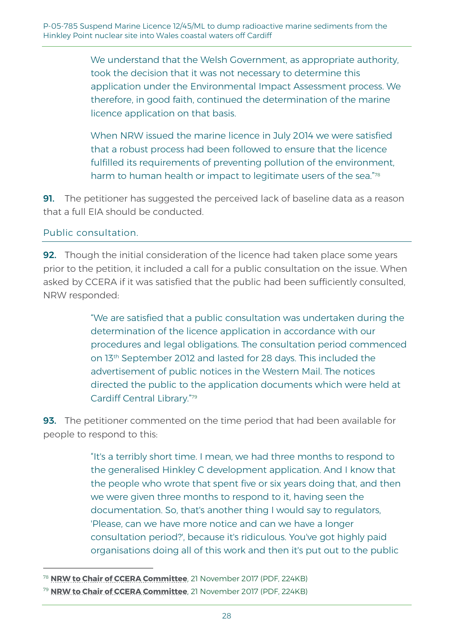We understand that the Welsh Government, as appropriate authority, took the decision that it was not necessary to determine this application under the Environmental Impact Assessment process. We therefore, in good faith, continued the determination of the marine licence application on that basis.

When NRW issued the marine licence in July 2014 we were satisfied that a robust process had been followed to ensure that the licence fulfilled its requirements of preventing pollution of the environment, harm to human health or impact to legitimate users of the sea."78

**91.** The petitioner has suggested the perceived lack of baseline data as a reason that a full EIA should be conducted.

#### Public consultation.

-

**92.** Though the initial consideration of the licence had taken place some years prior to the petition, it included a call for a public consultation on the issue. When asked by CCERA if it was satisfied that the public had been sufficiently consulted, NRW responded:

> "We are satisfied that a public consultation was undertaken during the determination of the licence application in accordance with our procedures and legal obligations. The consultation period commenced on 13th September 2012 and lasted for 28 days. This included the advertisement of public notices in the Western Mail. The notices directed the public to the application documents which were held at Cardiff Central Library." 79

**93.** The petitioner commented on the time period that had been available for people to respond to this:

> "It's a terribly short time. I mean, we had three months to respond to the generalised Hinkley C development application. And I know that the people who wrote that spent five or six years doing that, and then we were given three months to respond to it, having seen the documentation. So, that's another thing I would say to regulators, 'Please, can we have more notice and can we have a longer consultation period?', because it's ridiculous. You've got highly paid organisations doing all of this work and then it's put out to the public

<sup>78</sup> **[NRW to Chair of CCERA Committee](http://www.senedd.assembly.wales/documents/s69281/21.11.2017%20Correspondence%20-%20Chair%20of%20NRW%20to%20Chair%20of%20CCERA%20Disposal%20of%20dredged%20sediment%20at%20sea.pdf)**, 21 November 2017 (PDF, 224KB)

<sup>79</sup> **[NRW to Chair of CCERA Committee](http://www.senedd.assembly.wales/documents/s69281/21.11.2017%20Correspondence%20-%20Chair%20of%20NRW%20to%20Chair%20of%20CCERA%20Disposal%20of%20dredged%20sediment%20at%20sea.pdf)**, 21 November 2017 (PDF, 224KB)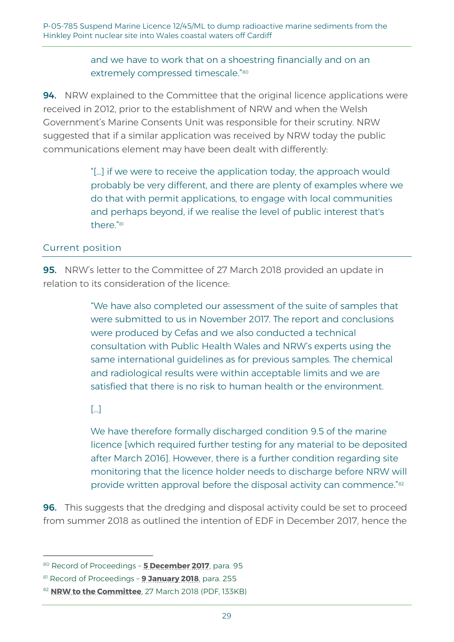#### and we have to work that on a shoestring financially and on an extremely compressed timescale." 80

94. NRW explained to the Committee that the original licence applications were received in 2012, prior to the establishment of NRW and when the Welsh Government's Marine Consents Unit was responsible for their scrutiny. NRW suggested that if a similar application was received by NRW today the public communications element may have been dealt with differently:

> "[…] if we were to receive the application today, the approach would probably be very different, and there are plenty of examples where we do that with permit applications, to engage with local communities and perhaps beyond, if we realise the level of public interest that's there."<sup>81</sup>

#### Current position

95. NRW's letter to the Committee of 27 March 2018 provided an update in relation to its consideration of the licence:

> "We have also completed our assessment of the suite of samples that were submitted to us in November 2017. The report and conclusions were produced by Cefas and we also conducted a technical consultation with Public Health Wales and NRW's experts using the same international guidelines as for previous samples. The chemical and radiological results were within acceptable limits and we are satisfied that there is no risk to human health or the environment.

#### $\lceil \cdot \cdot \rceil$

-

We have therefore formally discharged condition 9.5 of the marine licence [which required further testing for any material to be deposited after March 2016]. However, there is a further condition regarding site monitoring that the licence holder needs to discharge before NRW will provide written approval before the disposal activity can commence."<sup>82</sup>

**96.** This suggests that the dredging and disposal activity could be set to proceed from summer 2018 as outlined the intention of EDF in December 2017, hence the

<sup>80</sup> Record of Proceedings – **[5 December 2017](http://record.assembly.wales/Committee/4370#C41731)**, para. 95

<sup>81</sup> Record of Proceedings – **[9 January 2018](http://record.assembly.wales/Committee/4521#C48118)**, para. 255

<sup>82</sup> **[NRW to the Committee](http://senedd.assembly.wales/documents/s74040/27.0318%20Correspondence%20-%20Natural%20Resources%20Wales%20to%20the%20Chair.pdf)**, 27 March 2018 (PDF, 133KB)